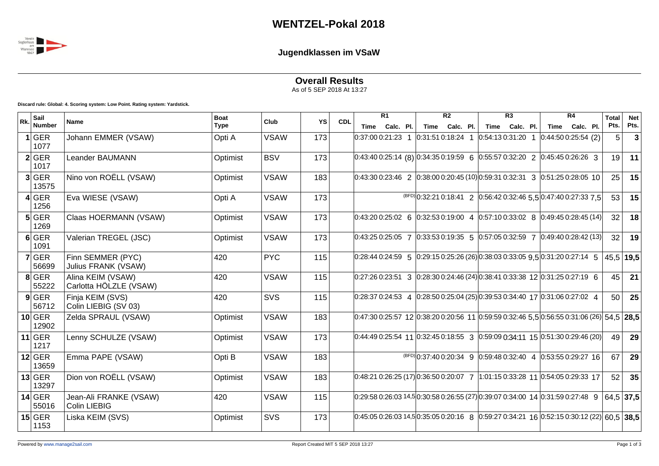

## **Jugendklassen im VSaW**

## **Overall Results**

As of 5 SEP 2018 At 13:27

**Discard rule: Global: 4. Scoring system: Low Point. Rating system: Yardstick.**

| Rk. | Sail              |                                               | <b>Boat</b> | Club        |     | <b>CDL</b> | $\overline{R1}$                                                                                                                                                  |  | $\overline{R2}$    |           |                 | $\overline{R3}$ |  | $\overline{R4}$                                                                 |  | <b>Total</b> | <b>Net</b>    |
|-----|-------------------|-----------------------------------------------|-------------|-------------|-----|------------|------------------------------------------------------------------------------------------------------------------------------------------------------------------|--|--------------------|-----------|-----------------|-----------------|--|---------------------------------------------------------------------------------|--|--------------|---------------|
|     | Number            | <b>Name</b>                                   | <b>Type</b> |             | YS  |            | Time Calc. Pl.                                                                                                                                                   |  | Time               | Calc. Pl. |                 | Time Calc. Pl.  |  | Time Calc. Pl.                                                                  |  | Pts.         | Pts.          |
|     | 1 GER<br>1077     | Johann EMMER (VSAW)                           | Opti A      | <b>VSAW</b> | 173 |            | 0:37:00 0:21:23 1                                                                                                                                                |  | $0:31:510:18:24$ 1 |           | 0:54:13 0:31:20 |                 |  | 0:44:500:25:54(2)                                                               |  | 5            | 3             |
|     | 2 GER<br>1017     | Leander BAUMANN                               | Optimist    | <b>BSV</b>  | 173 |            | $\vert 0.43:40\; 0.25:14\; (8)\, \vert 0.34:35\; 0.19:59\; \vert 6\; \vert 0.55:57\; 0.32:20\; \vert 2\; \vert 0.45:45\; 0.26:26\; \vert 3\;$                    |  |                    |           |                 |                 |  |                                                                                 |  | 19           | 11            |
|     | 3 GER<br>13575    | Nino von ROËLL (VSAW)                         | Optimist    | <b>VSAW</b> | 183 |            | $0.43.300.23.46$ 2 $0.38.000.20.45(10)0.59.310.32.31$ 3 $0.51.250.28.05$ 10                                                                                      |  |                    |           |                 |                 |  |                                                                                 |  | 25           | 15            |
|     | 4 GER<br>1256     | Eva WIESE (VSAW)                              | Opti A      | <b>VSAW</b> | 173 |            |                                                                                                                                                                  |  |                    |           |                 |                 |  | $\frac{\text{(BFD)}}{0.32:210:18:41}$ 2 0:56:42 0:32:46 5,5 0:47:40 0:27:33 7,5 |  | 53           | 15            |
|     | 5 GER<br>1269     | Claas HOERMANN (VSAW)                         | Optimist    | <b>VSAW</b> | 173 |            | $ 0.43:200:25:02 \quad 6 \quad  0.32:530:19:00 \quad 4 \quad  0.57:100:33:02 \quad 8 \quad  0.49:450:28:45(14) $                                                 |  |                    |           |                 |                 |  |                                                                                 |  | 32           | 18            |
|     | 6 GER<br>1091     | Valerian TREGEL (JSC)                         | Optimist    | <b>VSAW</b> | 173 |            | $ 0.43:250:25:05$ 7 $ 0.33:530:19:35$ 5 $ 0.57:050:32:59$ 7 $ 0.49:400:28:42(13) $                                                                               |  |                    |           |                 |                 |  |                                                                                 |  | 32           | 19            |
|     | $7$ GER<br>56699  | Finn SEMMER (PYC)<br>Julius FRANK (VSAW)      | 420         | <b>PYC</b>  | 115 |            | $0:28:440:24:59$ 5 $0:29:150:25:26(26)$ $0:38:030:33:0595$ $0:31:200:27:14$ 5                                                                                    |  |                    |           |                 |                 |  |                                                                                 |  |              | $ 45,5 $ 19,5 |
|     | $8$ GER<br>55222  | Alina KEIM (VSAW)<br>Carlotta HÖLZLE (VSAW)   | 420         | <b>VSAW</b> | 115 |            | $\vert 0.27:26 \vert 0.23:51 \vert 3 \vert 0.28:30 \vert 0.24:46 \vert (24) \vert 0.38:41 \vert 0.33:38 \vert 12 \vert 0.31:25 \vert 0.27:19 \vert 6$            |  |                    |           |                 |                 |  |                                                                                 |  | 45           | 21            |
|     | $9$ GER<br>56712  | Finja KEIM (SVS)<br>Colin LIEBIG (SV 03)      | 420         | SVS         | 115 |            | $0:28:370:24:53$ 4 $0:28:500:25:04(25)0:39:530:34:40$ 17 $0:31:060:27:02$ 4                                                                                      |  |                    |           |                 |                 |  |                                                                                 |  | 50           | 25            |
|     | $10$ GER<br>12902 | Zelda SPRAUL (VSAW)                           | Optimist    | <b>VSAW</b> | 183 |            | $0.47:300:25:57$ 12 $0.38:200:20:56$ 11 $0.59:590:32:46$ 5,5 $0.56:550:31:06$ (26) 54,5 28,5                                                                     |  |                    |           |                 |                 |  |                                                                                 |  |              |               |
|     | $11$ GER<br>1217  | Lenny SCHULZE (VSAW)                          | Optimist    | <b>VSAW</b> | 173 |            | $\vert 0.44.49 \vert 0.25.54 \vert 11 \vert 0.32.45 \vert 0.18.55 \vert 3 \vert 0.59.09 \vert 0.34.11 \vert 15 \vert 0.51.30 \vert 0.29.46 \vert 20 \vert \vert$ |  |                    |           |                 |                 |  |                                                                                 |  | 49           | 29            |
|     | $12$ GER<br>13659 | Emma PAPE (VSAW)                              | Opti B      | <b>VSAW</b> | 183 |            |                                                                                                                                                                  |  |                    |           |                 |                 |  | $\frac{\text{(BFD)}}{0.37:400:20:34}$ 9 0.59:48 0.32:40 4 0.53:55 0.29:27 16    |  | 67           | 29            |
|     | $13$ GER<br>13297 | Dion von ROËLL (VSAW)                         | Optimist    | <b>VSAW</b> | 183 |            | $ 0.48:210:26:25(17) 0.36:500:20:07$ 7 $ 1.01:150:33:28$ 11 $ 0.54:050:29:33$ 17                                                                                 |  |                    |           |                 |                 |  |                                                                                 |  | 52           | 35            |
|     | $14$ GER<br>55016 | Jean-Ali FRANKE (VSAW)<br><b>Colin LIEBIG</b> | 420         | <b>VSAW</b> | 115 |            | $0:29:580:26:0314,50:30:580:26:55(27)0:39:070:34:00140:31:590:27:489$                                                                                            |  |                    |           |                 |                 |  |                                                                                 |  |              | 64,5 37,5     |
|     | $15$ GER<br>1153  | Liska KEIM (SVS)                              | Optimist    | SVS         | 173 |            | $[0.45.05\,0.26.03\,14.5]0.35.05\,0.20.16\,8\,0.59.27\,0.34.21\,16\,0.52.15\,0.30.12\,(22)\,60.5\,38.5$                                                          |  |                    |           |                 |                 |  |                                                                                 |  |              |               |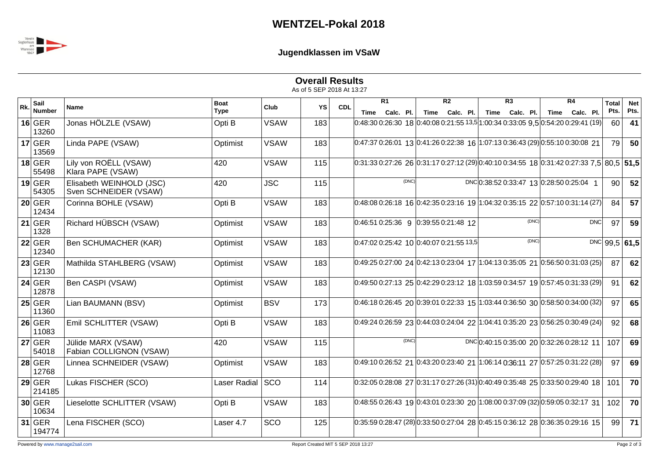

**Jugendklassen im VSaW**

|     |                       |                                                   |                            |             | <b>Overall Results</b><br>As of 5 SEP 2018 At 13:27 |            |                                                                                                                                     |                                   |       |                                   |  |                                   |       |                                           |    |     |                      |                    |
|-----|-----------------------|---------------------------------------------------|----------------------------|-------------|-----------------------------------------------------|------------|-------------------------------------------------------------------------------------------------------------------------------------|-----------------------------------|-------|-----------------------------------|--|-----------------------------------|-------|-------------------------------------------|----|-----|----------------------|--------------------|
| Rk. | Sail<br><b>Number</b> | <b>Name</b>                                       | <b>Boat</b><br><b>Type</b> | Club        | YS                                                  | <b>CDL</b> |                                                                                                                                     | $\overline{R1}$<br>Time Calc. Pl. |       | $\overline{R2}$<br>Time Calc. Pl. |  | $\overline{R3}$<br>Time Calc. Pl. |       | Time Calc. Pl.                            | R4 |     | <b>Total</b><br>Pts. | <b>Net</b><br>Pts. |
|     | $16$ GER<br>13260     | Jonas HÖLZLE (VSAW)                               | Opti B                     | <b>VSAW</b> | 183                                                 |            | $ 0.48:300:26:30$ 18 $ 0.40:080:21:5513,5 1:00:340:33:059,5 0:54:200:29:41(19) $                                                    |                                   |       |                                   |  |                                   |       |                                           |    |     | 60                   | 41                 |
|     | $17$ GER<br>13569     | Linda PAPE (VSAW)                                 | Optimist                   | <b>VSAW</b> | 183                                                 |            | $ 0.47:370:26:01$ 13 $ 0.41:260:22:38$ 16 $ 1.07:130:36:43(29) 0:55:100:30:08$ 21                                                   |                                   |       |                                   |  |                                   |       |                                           |    |     | 79 l                 | 50                 |
|     | $18$ GER<br>55498     | Lily von ROËLL (VSAW)<br>Klara PAPE (VSAW)        | 420                        | <b>VSAW</b> | 115                                                 |            | $[0.31.33\ 0.27.26\ 26\ 0.31.17\ 0.27.12\ (29) 0.40.10\ 0.34.55\ 18\ 0.31.42\ 0.27.33\ 7.5]\ 80.5\ 51.5$                            |                                   |       |                                   |  |                                   |       |                                           |    |     |                      |                    |
|     | $19$ GER<br>54305     | Elisabeth WEINHOLD (JSC)<br>Sven SCHNEIDER (VSAW) | 420                        | <b>JSC</b>  | 115                                                 |            |                                                                                                                                     |                                   | (DNC) |                                   |  |                                   |       | DNC 0:38:52 0:33:47 13 0:28:50 0:25:04 1  |    |     | 90                   | 52                 |
|     | $20$ GER<br>12434     | Corinna BOHLE (VSAW)                              | Opti B                     | <b>VSAW</b> | 183                                                 |            | $0.48.080.26.18$ 16 $0.42.350.23.16$ 19 $1.04.320.35.15$ 22 $0.57.100.31.14$ (27)                                                   |                                   |       |                                   |  |                                   |       |                                           |    |     | 84                   | 57                 |
|     | $21$ GER<br>1328      | Richard HÜBSCH (VSAW)                             | Optimist                   | <b>VSAW</b> | 183                                                 |            | $0:46:510:25:36$ 9 $0:39:550:21:48$ 12                                                                                              |                                   |       |                                   |  |                                   | (DNC) |                                           |    | DNC | 97                   | 59                 |
|     | $22$ GER<br>12340     | Ben SCHUMACHER (KAR)                              | Optimist                   | <b>VSAW</b> | 183                                                 |            | $0:47:020:25:42$ 10 0:40:07 0:21:55 13,5                                                                                            |                                   |       |                                   |  |                                   | (DNC) |                                           |    |     |                      | $DNC$ 99,5 61,5    |
|     | $23$ GER<br>12130     | Mathilda STAHLBERG (VSAW)                         | Optimist                   | <b>VSAW</b> | 183                                                 |            | $ 0.49:250:27:00$ 24 $ 0.42:130:23:04$ 17 $ 1.04:130:35:05$ 21 $ 0.56:500:31:03$ (25)                                               |                                   |       |                                   |  |                                   |       |                                           |    |     | 87                   | 62                 |
|     | $24$ GER<br>12878     | Ben CASPI (VSAW)                                  | Optimist                   | <b>VSAW</b> | 183                                                 |            | $\vert 0.49:50\; 0.27:13\;$ 25 $\vert 0.42:29\; 0.23:12\;$ 18 $\vert 1.03:59\; 0.34:57\;$ 19 $\vert 0.57:45\; 0.31:33\; (29) \vert$ |                                   |       |                                   |  |                                   |       |                                           |    |     | 91                   | 62                 |
|     | $25$ GER<br>11360     | Lian BAUMANN (BSV)                                | Optimist                   | <b>BSV</b>  | 173                                                 |            | 0:46:18 0:26:45 20  0:39:01 0:22:33 15  1:03:44 0:36:50 30 0:58:50 0:34:00 (32)                                                     |                                   |       |                                   |  |                                   |       |                                           |    |     | 97                   | 65                 |
|     | $26$ GER<br>11083     | Emil SCHLITTER (VSAW)                             | Opti B                     | <b>VSAW</b> | 183                                                 |            | $ 0.49:240:26:5923 0.44:030:24:0422 1.04:410:35:2023 0.56:250:30:49(24) $                                                           |                                   |       |                                   |  |                                   |       |                                           |    |     | 92                   | 68                 |
|     | $27$ GER<br>54018     | Jülide MARX (VSAW)<br>Fabian COLLIGNON (VSAW)     | 420                        | <b>VSAW</b> | 115                                                 |            |                                                                                                                                     |                                   | (DNC) |                                   |  |                                   |       | DNC 0:40:15 0:35:00 20 0:32:26 0:28:12 11 |    |     | 107                  | 69                 |
|     | $28$ GER<br>12768     | Linnea SCHNEIDER (VSAW)                           | Optimist                   | <b>VSAW</b> | 183                                                 |            | $ 0.49:10\;0.26:52\;$ 21 $ 0.43:20\;0.23:40\;$ 21 $ 1.06:14\;0.36:11\;$ 27 $ 0.57:25\;0.31:22\; (28) $                              |                                   |       |                                   |  |                                   |       |                                           |    |     | 97                   | 69                 |
|     | $29$ GER<br>214185    | Lukas FISCHER (SCO)                               | Laser Radial SCO           |             | 114                                                 |            | $0.32:050:28:08$ 27 $0.31:170:27:26(31)0:40:490:35:48$ 25 $0.33:500:29:40$ 18                                                       |                                   |       |                                   |  |                                   |       |                                           |    |     | 101                  | 70                 |
|     | $30$ GER<br>10634     | Lieselotte SCHLITTER (VSAW)                       | Opti B                     | <b>VSAW</b> | 183                                                 |            | $0:48:550:26:43$ 19 $0:43:010:23:30$ 20 $1:08:000:37:09(32)$ $0:59:050:32:17$ 31                                                    |                                   |       |                                   |  |                                   |       |                                           |    |     | 102                  | 70                 |
|     | $31$ GER<br>194774    | Lena FISCHER (SCO)                                | Laser 4.7                  | SCO         | 125                                                 |            | $ 0.35:59 0.28:47 (28) 0.33:50 0.27:04 28  0.45:15 0.36:12 28  0.36:35 0.29:16 15 $                                                 |                                   |       |                                   |  |                                   |       |                                           |    |     | 99                   | 71                 |